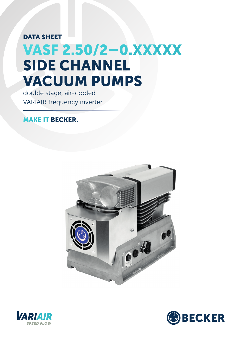DATA SHEET

## VASF 2.50/2–0.XXXXX SIDE CHANNEL VACUUM PUMPS

double stage, air-cooled VARIAIR frequency inverter

## MAKE IT BECKER.





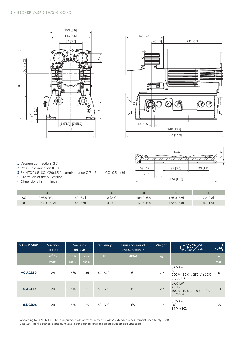



## 1 Vacuum connection (G 1)

|                      | $A - A$    |          | 6.5[0.3] |
|----------------------|------------|----------|----------|
| 69 [2.7]<br>30 [1.2] | 92 [3.6]   | 30 [1.2] |          |
|                      | 294 [11.6] |          |          |

| AC | 256.5 [10.1]   | 169 [6.7] | 8 [0.3] | 164.0 [6.5] | 176.0 [6.9] | 70 [2.8] |
|----|----------------|-----------|---------|-------------|-------------|----------|
| DC | 9.2<br>233.0 [ | 146 [5.8] | 4[0.2]  | 161.6 [6.4] | 172.5 [6.8] | 47 [1.9] |

| $-5 [2.2]$<br>55.<br>$\varpi$<br>$\mathbf \Omega$<br>3[0.1]<br>$\cup$<br>1 Vacuum connection (G 1)<br>2 Pressure connection (G 1)<br>· Illustration of the AC version<br>• Dimensions in mm [inch] | ⊚<br>0<br>D<br>3 SKINTOP MS-SC-M20x1.5 / clamping range Ø 7-13 mm [0.3-0.5 inch]                                            | 83 [3.3]<br>43.5[1.7] 43.5[1.7]<br>d<br>e | ⊚<br>IN<br>o,<br>⊚<br>O<br>tiC T<br>Ͽ | 데                       | ∩<br>$A^{\mathbf{L}}$<br>11.5 [0.5]<br>69 [2.7]<br>30 [1.2] | 43[1.7]<br>O<br>10  <br>o | 348 [13.7]<br>353 [13.9]<br>$A - A$<br>92 [3.6]<br>294 [11.6] | 211 [8.3]<br>30 [1.2]                                                                                                                                                 | 屾<br>$\mathbf{v}_\mathrm{A}$<br>6.5[0.3] |
|----------------------------------------------------------------------------------------------------------------------------------------------------------------------------------------------------|-----------------------------------------------------------------------------------------------------------------------------|-------------------------------------------|---------------------------------------|-------------------------|-------------------------------------------------------------|---------------------------|---------------------------------------------------------------|-----------------------------------------------------------------------------------------------------------------------------------------------------------------------|------------------------------------------|
| AC                                                                                                                                                                                                 | $\mathsf{a}$<br>256.5 [10.1]                                                                                                | $\sf b$<br>169 [6.7]                      |                                       | $\mathsf{c}$<br>8 [0.3] | $\operatorname{\mathsf{d}}$<br>164.0 [6.5]                  |                           | $\mathsf{e}% _{t}\left( t\right)$<br>176.0 [6.9]              | $\mathsf f$<br>70 [2.8]                                                                                                                                               |                                          |
| DC<br>233.0 [ 9.2]<br>146 [5.8]                                                                                                                                                                    |                                                                                                                             | 4[0.2]                                    | 161.6 [6.4]                           |                         | 172.5 [6.8]                                                 | 47 [1.9]                  |                                                               |                                                                                                                                                                       |                                          |
| <b>VASF 2.50/2</b>                                                                                                                                                                                 | Suction<br>air rate                                                                                                         | Vacuum<br>relative                        |                                       | Frequency               | <b>Emission sound</b><br>pressure level <sup>1)</sup>       | Weight                    |                                                               | $\begin{array}{c} \begin{array}{c} 1 \ 3 \end{array} \\ \begin{array}{c} 3 \end{array} \\ \begin{array}{c} 3 \end{array} \\ \begin{array}{c} \end{array} \end{array}$ | $\overline{\rightarrow}$                 |
|                                                                                                                                                                                                    | $m^3/h$<br>max.                                                                                                             | mbar<br>max.                              | kPa<br>max.                           | Hz                      | dB(A)                                                       | kg                        |                                                               |                                                                                                                                                                       | $\mathsf{A}$<br>max.                     |
| $-0.$ AC230                                                                                                                                                                                        | 24                                                                                                                          | $-560$                                    | $-56$                                 | $50 - 300$              | 61                                                          | 12,3                      | 0,65 kW<br>AC $1~$<br>200 V -10%  230 V +10%<br>50/60 Hz      |                                                                                                                                                                       | 6                                        |
| $-0.$ AC115                                                                                                                                                                                        | 24                                                                                                                          | $-510$                                    | $-51$                                 | $50 - 300$              | 61                                                          | 12.3                      | 0.60 kW<br>AC $1~$<br>100 V -10%  115 V +10%<br>50/60 Hz      |                                                                                                                                                                       | 10                                       |
| $-0.$ DC024                                                                                                                                                                                        | 24                                                                                                                          | $-550$                                    | $-55$                                 | $50 - 300$              | 65                                                          | 11,5                      | 0,75 kW<br>DC.<br>24 V ± 20%                                  |                                                                                                                                                                       | 35                                       |
|                                                                                                                                                                                                    | <sup>1)</sup> According to DIN EN ISO 11203, accuracy class of measurement: class 2, extended measurement uncertainty: 3 dB |                                           |                                       |                         |                                                             |                           |                                                               |                                                                                                                                                                       |                                          |

1 m [39.4 inch] distance, at medium load, both connection sides piped, suction side unloaded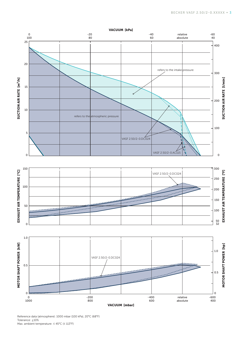

Reference data (atmosphere): 1000 mbar (100 kPa), 20°C (68°F) Tolerance:  $±10%$ Max. ambient temperature: ≤ 45°C (≤ 113°F)